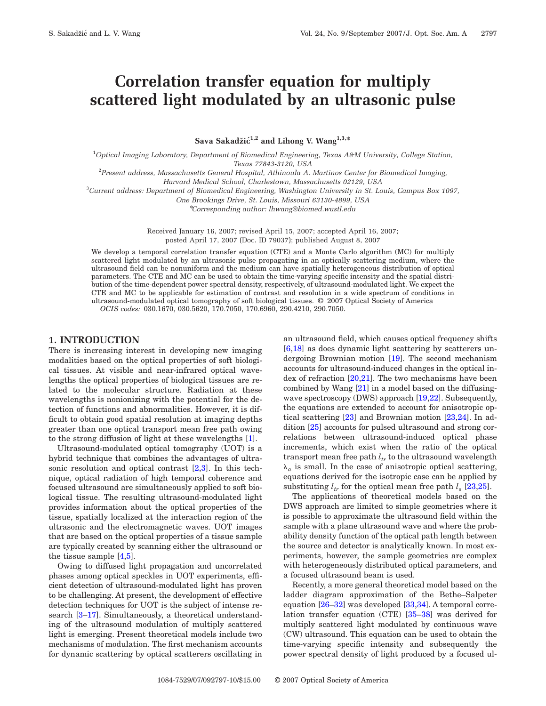# **Correlation transfer equation for multiply scattered light modulated by an ultrasonic pulse**

Sava Sakadžić<sup>1,2</sup> and Lihong V. Wang<sup>1,3,\*</sup>

1 *Optical Imaging Laboratory, Department of Biomedical Engineering, Texas A&M University, College Station, Texas 77843-3120, USA*

2 *Present address, Massachusetts General Hospital, Athinoula A. Martinos Center for Biomedical Imaging,*

*Harvard Medical School, Charlestown, Massachusetts 02129, USA*

3 *Current address: Department of Biomedical Engineering, Washington University in St. Louis, Campus Box 1097,*

*One Brookings Drive, St. Louis, Missouri 63130-4899, USA*

\**Corresponding author: lhwang@biomed.wustl.edu*

Received January 16, 2007; revised April 15, 2007; accepted April 16, 2007; posted April 17, 2007 (Doc. ID 79037); published August 8, 2007

We develop a temporal correlation transfer equation (CTE) and a Monte Carlo algorithm (MC) for multiply scattered light modulated by an ultrasonic pulse propagating in an optically scattering medium, where the ultrasound field can be nonuniform and the medium can have spatially heterogeneous distribution of optical parameters. The CTE and MC can be used to obtain the time-varying specific intensity and the spatial distribution of the time-dependent power spectral density, respectively, of ultrasound-modulated light. We expect the CTE and MC to be applicable for estimation of contrast and resolution in a wide spectrum of conditions in ultrasound-modulated optical tomography of soft biological tissues. © 2007 Optical Society of America *OCIS codes:* 030.1670, 030.5620, 170.7050, 170.6960, 290.4210, 290.7050.

## **1. INTRODUCTION**

There is increasing interest in developing new imaging modalities based on the optical properties of soft biological tissues. At visible and near-infrared optical wavelengths the optical properties of biological tissues are related to the molecular structure. Radiation at these wavelengths is nonionizing with the potential for the detection of functions and abnormalities. However, it is difficult to obtain good spatial resolution at imaging depths greater than one optical transport mean free path owing to the strong diffusion of light at these wavelengths [\[1\]](#page-8-0).

Ultrasound-modulated optical tomography (UOT) is a hybrid technique that combines the advantages of ultrasonic resolution and optical contrast [\[2,](#page-8-1)[3\]](#page-8-2). In this technique, optical radiation of high temporal coherence and focused ultrasound are simultaneously applied to soft biological tissue. The resulting ultrasound-modulated light provides information about the optical properties of the tissue, spatially localized at the interaction region of the ultrasonic and the electromagnetic waves. UOT images that are based on the optical properties of a tissue sample are typically created by scanning either the ultrasound or the tissue sample [\[4,](#page-8-3)[5\]](#page-8-4).

Owing to diffused light propagation and uncorrelated phases among optical speckles in UOT experiments, efficient detection of ultrasound-modulated light has proven to be challenging. At present, the development of effective detection techniques for UOT is the subject of intense re-search [\[3](#page-8-2)-17]. Simultaneously, a theoretical understanding of the ultrasound modulation of multiply scattered light is emerging. Present theoretical models include two mechanisms of modulation. The first mechanism accounts for dynamic scattering by optical scatterers oscillating in an ultrasound field, which causes optical frequency shifts [\[6](#page-9-1)[,18\]](#page-9-2) as does dynamic light scattering by scatterers undergoing Brownian motion [\[19\]](#page-9-3). The second mechanism accounts for ultrasound-induced changes in the optical index of refraction  $[20,21]$  $[20,21]$ . The two mechanisms have been combined by Wang [\[21\]](#page-9-5) in a model based on the diffusing-wave spectroscopy (DWS) approach [\[19](#page-9-3)[,22\]](#page-9-6). Subsequently, the equations are extended to account for anisotropic optical scattering [\[23\]](#page-9-7) and Brownian motion [\[23](#page-9-7)[,24\]](#page-9-8). In addition [\[25\]](#page-9-9) accounts for pulsed ultrasound and strong correlations between ultrasound-induced optical phase increments, which exist when the ratio of the optical transport mean free path  $l_{tr}$  to the ultrasound wavelength  $\lambda_a$  is small. In the case of anisotropic optical scattering, equations derived for the isotropic case can be applied by substituting  $l_{tr}$  for the optical mean free path  $l_s$  [\[23](#page-9-7)[,25\]](#page-9-9).

The applications of theoretical models based on the DWS approach are limited to simple geometries where it is possible to approximate the ultrasound field within the sample with a plane ultrasound wave and where the probability density function of the optical path length between the source and detector is analytically known. In most experiments, however, the sample geometries are complex with heterogeneously distributed optical parameters, and a focused ultrasound beam is used.

Recently, a more general theoretical model based on the ladder diagram approximation of the Bethe–Salpeter equation  $[26-32]$  $[26-32]$  was developed  $[33,34]$  $[33,34]$ . A temporal correlation transfer equation (CTE) [\[35–](#page-9-14)[38\]](#page-9-15) was derived for multiply scattered light modulated by continuous wave (CW) ultrasound. This equation can be used to obtain the time-varying specific intensity and subsequently the power spectral density of light produced by a focused ul-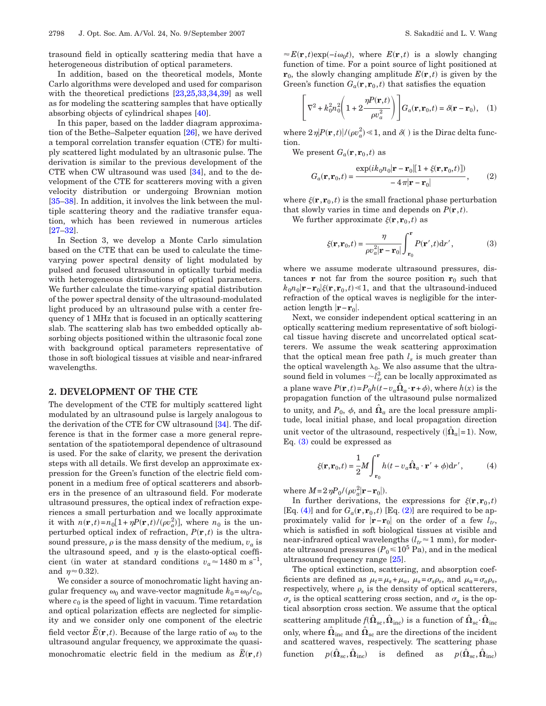trasound field in optically scattering media that have a heterogeneous distribution of optical parameters.

In addition, based on the theoretical models, Monte Carlo algorithms were developed and used for comparison with the theoretical predictions  $[23,25,33,34,39]$  $[23,25,33,34,39]$  $[23,25,33,34,39]$  $[23,25,33,34,39]$  $[23,25,33,34,39]$  as well as for modeling the scattering samples that have optically absorbing objects of cylindrical shapes [\[40\]](#page-9-17).

In this paper, based on the ladder diagram approximation of the Bethe–Salpeter equation [\[26\]](#page-9-10), we have derived a temporal correlation transfer equation (CTE) for multiply scattered light modulated by an ultrasonic pulse. The derivation is similar to the previous development of the CTE when CW ultrasound was used [\[34\]](#page-9-13), and to the development of the CTE for scatterers moving with a given velocity distribution or undergoing Brownian motion [\[35–](#page-9-14)[38\]](#page-9-15). In addition, it involves the link between the multiple scattering theory and the radiative transfer equation, which has been reviewed in numerous articles [\[27–](#page-9-18)[32\]](#page-9-11).

In Section 3, we develop a Monte Carlo simulation based on the CTE that can be used to calculate the timevarying power spectral density of light modulated by pulsed and focused ultrasound in optically turbid media with heterogeneous distributions of optical parameters. We further calculate the time-varying spatial distribution of the power spectral density of the ultrasound-modulated light produced by an ultrasound pulse with a center frequency of 1 MHz that is focused in an optically scattering slab. The scattering slab has two embedded optically absorbing objects positioned within the ultrasonic focal zone with background optical parameters representative of those in soft biological tissues at visible and near-infrared wavelengths.

# **2. DEVELOPMENT OF THE CTE**

The development of the CTE for multiply scattered light modulated by an ultrasound pulse is largely analogous to the derivation of the CTE for CW ultrasound [\[34\]](#page-9-13). The difference is that in the former case a more general representation of the spatiotemporal dependence of ultrasound is used. For the sake of clarity, we present the derivation steps with all details. We first develop an approximate expression for the Green's function of the electric field component in a medium free of optical scatterers and absorbers in the presence of an ultrasound field. For moderate ultrasound pressures, the optical index of refraction experiences a small perturbation and we locally approximate it with  $n(\mathbf{r},t) = n_0[1 + \eta P(\mathbf{r},t)/(\rho v_a^2)]$ , where  $n_0$  is the unperturbed optical index of refraction,  $P(\mathbf{r},t)$  is the ultrasound pressure,  $\rho$  is the mass density of the medium,  $v_a$  is the ultrasound speed, and  $\eta$  is the elasto-optical coefficient (in water at standard conditions  $v_a \approx 1480 \text{ m s}^{-1}$ , and  $\eta \approx 0.32$ ).

We consider a source of monochromatic light having angular frequency  $\omega_0$  and wave-vector magnitude  $k_0 = \omega_0 / c_0$ , where  $c_0$  is the speed of light in vacuum. Time retardation and optical polarization effects are neglected for simplicity and we consider only one component of the electric field vector  $\tilde{E}(\mathbf{r},t)$ . Because of the large ratio of  $\omega_0$  to the ultrasound angular frequency, we approximate the quasimonochromatic electric field in the medium as  $\overline{E}(\mathbf{r},t)$ 

 $\approx E(\mathbf{r}, t) \exp(-i\omega_0 t)$ , where  $E(\mathbf{r}, t)$  is a slowly changing function of time. For a point source of light positioned at  $\mathbf{r}_0$ , the slowly changing amplitude  $E(\mathbf{r},t)$  is given by the Green's function  $G_a(\mathbf{r}, \mathbf{r}_0, t)$  that satisfies the equation

$$
\left[\nabla^2 + k_0^2 n_0^2 \left(1 + 2\frac{\eta P(\mathbf{r},t)}{\rho v_a^2}\right)\right] G_a(\mathbf{r},\mathbf{r}_0,t) = \delta(\mathbf{r} - \mathbf{r}_0), \quad (1)
$$

where  $2\,\eta|P(\mathbf{r},t)|/(\rho v_a^2)\!\ll\!1,$  and  $\delta\!(\ )$  is the Dirac delta function.

<span id="page-1-2"></span>We present  $G_a(\mathbf{r}, \mathbf{r}_0, t)$  as

$$
G_a(\mathbf{r}, \mathbf{r}_0, t) = \frac{\exp(ik_0 n_0 |\mathbf{r} - \mathbf{r}_0| [1 + \xi(\mathbf{r}, \mathbf{r}_0, t)])}{-4\pi |\mathbf{r} - \mathbf{r}_0|},
$$
 (2)

where  $\xi(\mathbf{r}, \mathbf{r}_0, t)$  is the small fractional phase perturbation that slowly varies in time and depends on  $P(\mathbf{r},t)$ .

<span id="page-1-0"></span>We further approximate  $\xi(\mathbf{r}, \mathbf{r}_0, t)$  as

$$
\xi(\mathbf{r}, \mathbf{r}_0, t) = \frac{\eta}{\rho v_a^2 |\mathbf{r} - \mathbf{r}_0|} \int_{\mathbf{r}_0}^{\mathbf{r}} P(\mathbf{r}', t) d\mathbf{r}',\tag{3}
$$

where we assume moderate ultrasound pressures, distances **r** not far from the source position  $\mathbf{r}_0$  such that  $k_0 n_0 |$ **r**−**r**<sub>0</sub> $|\xi$ (**r**,**r**<sub>0</sub>,*t*) ≤1, and that the ultrasound-induced refraction of the optical waves is negligible for the interaction length **r**−**r**0 .

Next, we consider independent optical scattering in an optically scattering medium representative of soft biological tissue having discrete and uncorrelated optical scatterers. We assume the weak scattering approximation that the optical mean free path  $l_s$  is much greater than the optical wavelength  $\lambda_0$ . We also assume that the ultrasound field in volumes  $\neg l_{tr}^3$  can be locally approximated as a plane wave  $P(\mathbf{r}, t) = P_0 h(t - v_a \hat{\Omega}_a \cdot \mathbf{r} + \phi)$ , where  $h(x)$  is the propagation function of the ultrasound pulse normalized to unity, and  $P_0$ ,  $\phi$ , and  $\hat{\Omega}_a$  are the local pressure amplitude, local initial phase, and local propagation direction unit vector of the ultrasound, respectively  $(|\hat{\Omega}_a| = 1)$ . Now, Eq. [\(3\)](#page-1-0) could be expressed as

$$
\xi(\mathbf{r}, \mathbf{r}_0, t) = \frac{1}{2} M \int_{\mathbf{r}_0}^{\mathbf{r}} h(t - v_a \hat{\mathbf{\Omega}}_a \cdot \mathbf{r}' + \phi) \mathrm{d}r', \tag{4}
$$

<span id="page-1-1"></span>where  $M = 2 \eta P_0 / (\rho v_a^2 | \mathbf{r} - \mathbf{r}_0 |).$ 

In further derivations, the expressions for  $\xi(\mathbf{r}, \mathbf{r}_0, t)$ [Eq. [\(4\)\]](#page-1-1) and for  $G_a(\mathbf{r}, \mathbf{r}_0, t)$  [Eq. [\(2\)\]](#page-1-2) are required to be approximately valid for  $|\mathbf{r}-\mathbf{r}_0|$  on the order of a few  $l_t$ , which is satisfied in soft biological tissues at visible and near-infrared optical wavelengths  $(l_{tr} \approx 1 \text{ mm})$ , for moderate ultrasound pressures  $(P_0 \le 10^5 \text{ Pa})$ , and in the medical ultrasound frequency range [\[25\]](#page-9-9).

The optical extinction, scattering, and absorption coefficients are defined as  $\mu_t = \mu_s + \mu_a$ ,  $\mu_s = \sigma_s \rho_s$ , and  $\mu_a = \sigma_a \rho_s$ , respectively, where  $\rho_s$  is the density of optical scatterers,  $\sigma_s$  is the optical scattering cross section, and  $\sigma_a$  is the optical absorption cross section. We assume that the optical scattering amplitude  $f(\hat{\mathbf{\Omega}}_{\rm sc},\hat{\mathbf{\Omega}}_{\rm inc})$  is a function of  $\hat{\mathbf{\Omega}}_{\rm sc}\cdot\hat{\mathbf{\Omega}}_{\rm inc}$ only, where  $\hat{\Omega}_{\text{inc}}$  and  $\hat{\Omega}_{\text{sc}}$  are the directions of the incident and scattered waves, respectively. The scattering phase  $\text{function} \quad p(\hat{\mathbf{\Omega}}_{\rm sc},\hat{\mathbf{\Omega}}_{\rm inc}) \quad \text{ is} \quad \text{defined} \quad \text{as} \quad p(\hat{\mathbf{\Omega}}_{\rm sc},\hat{\mathbf{\Omega}}_{\rm inc})$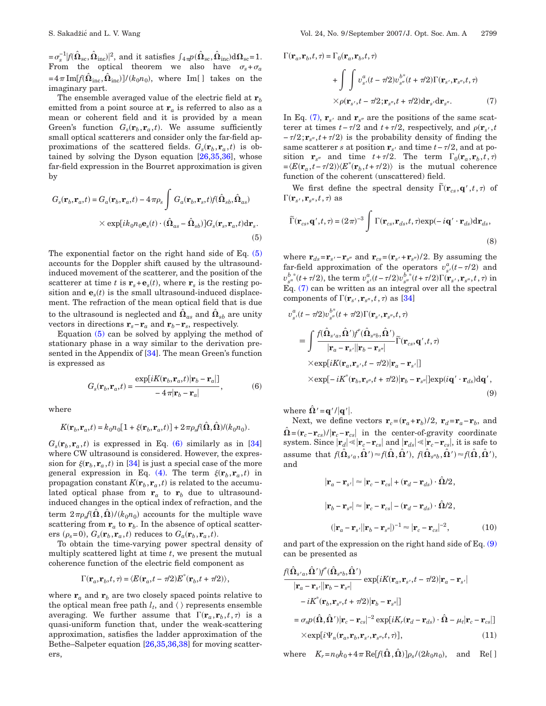$= \sigma_s^{-1} |f(\hat{\Omega}_{\rm sc}, \hat{\Omega}_{\rm inc})|^2$ , and it satisfies  $\int_{4\pi} p(\hat{\Omega}_{\rm sc}, \hat{\Omega}_{\rm inc}) d\Omega_{\rm sc} = 1$ . From the optical theorem we also have  $\sigma_s + \sigma_a$  $=4\,\pi\, \mathrm{Im}[\hat{f}(\hat{\boldsymbol{\Omega}}_{\mathrm{inc}},\hat{\boldsymbol{\Omega}}_{\mathrm{inc}})]/(k_0 n_0), \, \, \, \mathrm{where} \, \, \, \mathrm{Im}[\, \,] \, \, \, \mathrm{takes \,} \, \, \mathrm{on} \, \, \, \mathrm{the}$ imaginary part.

The ensemble averaged value of the electric field at **r***<sup>b</sup>* emitted from a point source at  $\mathbf{r}_a$  is referred to also as a mean or coherent field and it is provided by a mean Green's function  $G_s(\mathbf{r}_b, \mathbf{r}_a, t)$ . We assume sufficiently small optical scatterers and consider only the far-field approximations of the scattered fields.  $G_s(\mathbf{r}_b, \mathbf{r}_a, t)$  is obtained by solving the Dyson equation  $[26,35,36]$  $[26,35,36]$  $[26,35,36]$ , whose far-field expression in the Bourret approximation is given by

<span id="page-2-0"></span>
$$
G_s(\mathbf{r}_b, \mathbf{r}_a, t) = G_a(\mathbf{r}_b, \mathbf{r}_a, t) - 4\pi \rho_s \int G_a(\mathbf{r}_b, \mathbf{r}_s, t) f(\hat{\Omega}_{sb}, \hat{\Omega}_{as})
$$

$$
\times \exp[i k_0 n_0 \mathbf{e}_s(t) \cdot (\hat{\Omega}_{as} - \hat{\Omega}_{sb})] G_s(\mathbf{r}_s, \mathbf{r}_a, t) d\mathbf{r}_s.
$$
(5)

The exponential factor on the right hand side of Eq. [\(5\)](#page-2-0) accounts for the Doppler shift caused by the ultrasoundinduced movement of the scatterer, and the position of the scatterer at time *t* is  $\mathbf{r}_s + \mathbf{e}_s(t)$ , where  $\mathbf{r}_s$  is the resting position and  $\mathbf{e}_s(t)$  is the small ultrasound-induced displacement. The refraction of the mean optical field that is due to the ultrasound is neglected and  $\hat{\Omega}_{as}$  and  $\hat{\Omega}_{sb}$  are unity vectors in directions  $\mathbf{r}_s - \mathbf{r}_a$  and  $\mathbf{r}_b - \mathbf{r}_s$ , respectively.

Equation [\(5\)](#page-2-0) can be solved by applying the method of stationary phase in a way similar to the derivation pre-sented in the Appendix of [\[34\]](#page-9-13). The mean Green's function is expressed as

$$
G_s(\mathbf{r}_b, \mathbf{r}_a, t) = \frac{\exp[iK(\mathbf{r}_b, \mathbf{r}_a, t)|\mathbf{r}_b - \mathbf{r}_a]]}{-4\pi|\mathbf{r}_b - \mathbf{r}_a|},\tag{6}
$$

<span id="page-2-1"></span>where

$$
K(\mathbf{r}_b, \mathbf{r}_a, t) = k_0 n_0 [1 + \xi(\mathbf{r}_b, \mathbf{r}_a, t)] + 2 \pi \rho_s f(\hat{\Omega}, \hat{\Omega}) / (k_0 n_0).
$$

 $G_s(\mathbf{r}_b, \mathbf{r}_a, t)$  is expressed in Eq. [\(6\)](#page-2-1) similarly as in [\[34\]](#page-9-13) where CW ultrasound is considered. However, the expression for  $\xi(\mathbf{r}_b, \mathbf{r}_a, t)$  in [\[34\]](#page-9-13) is just a special case of the more general expression in Eq. [\(4\).](#page-1-1) The term  $\xi(\mathbf{r}_b, \mathbf{r}_a, t)$  in propagation constant  $K(\mathbf{r}_b, \mathbf{r}_a, t)$  is related to the accumulated optical phase from  $r_a$  to  $r_b$  due to ultrasoundinduced changes in the optical index of refraction, and the term  $2\pi \rho_s f(\hat{\boldsymbol{\Omega}},\hat{\boldsymbol{\Omega}})/(k_0n_0)$  accounts for the multiple wave scattering from  $\mathbf{r}_a$  to  $\mathbf{r}_b$ . In the absence of optical scatterers  $(\rho_s = 0)$ ,  $G_s(\mathbf{r}_b, \mathbf{r}_a, t)$  reduces to  $G_a(\mathbf{r}_b, \mathbf{r}_a, t)$ .

To obtain the time-varying power spectral density of multiply scattered light at time *t*, we present the mutual coherence function of the electric field component as

$$
\Gamma(\mathbf{r}_a, \mathbf{r}_b, t, \tau) = \langle E(\mathbf{r}_a, t - \tau/2) E^*(\mathbf{r}_b, t + \tau/2) \rangle,
$$

where  $\mathbf{r}_a$  and  $\mathbf{r}_b$  are two closely spaced points relative to the optical mean free path  $l_t$ , and  $\langle \rangle$  represents ensemble averaging. We further assume that  $\Gamma(\mathbf{r}_a, \mathbf{r}_b, t, \tau)$  is a quasi-uniform function that, under the weak-scattering approximation, satisfies the ladder approximation of the Bethe–Salpeter equation [\[26,](#page-9-10)[35,](#page-9-14)[36,](#page-9-19)[38\]](#page-9-15) for moving scatterers,

<span id="page-2-2"></span>
$$
\Gamma(\mathbf{r}_a, \mathbf{r}_b, t, \tau) = \Gamma_0(\mathbf{r}_a, \mathbf{r}_b, t, \tau)
$$
  
+ 
$$
\int \int v_{s'}^a(t - \tau/2) v_{s''}^{b^*}(t + \tau/2) \Gamma(\mathbf{r}_{s'}, \mathbf{r}_{s''}, t, \tau)
$$
  

$$
\times \rho(\mathbf{r}_{s'}, t - \tau/2; \mathbf{r}_{s''}, t + \tau/2) d\mathbf{r}_{s'} d\mathbf{r}_{s''}. \tag{7}
$$

In Eq. [\(7\),](#page-2-2)  $\mathbf{r}_{s'}$  and  $\mathbf{r}_{s''}$  are the positions of the same scatterer at times  $t - \tau/2$  and  $t + \tau/2$ , respectively, and  $\rho(\mathbf{r}_{s'}, t)$  $-\tau/2; \mathbf{r}_{s''}, t + \tau/2$  is the probability density of finding the same scatterer *s* at position  $\mathbf{r}_{s'}$  and time  $t - \tau/2$ , and at position  $\mathbf{r}_{s''}$  and time  $t + \tau/2$ . The term  $\Gamma_0(\mathbf{r}_a, \mathbf{r}_b, t, \tau)$  $=\langle E(\mathbf{r}_a, t-\tau/2)\rangle \langle E^*(\mathbf{r}_b, t+\tau/2)\rangle$  is the mutual coherence function of the coherent (unscattered) field.

We first define the spectral density  $\tilde{\Gamma}(\mathbf{r}_{cs}, \mathbf{q}', t, \tau)$  of  $\Gamma(\mathbf{r}_{s'}, \mathbf{r}_{s''}, t, \tau)$  as

<span id="page-2-4"></span>
$$
\widetilde{\Gamma}(\mathbf{r}_{cs}, \mathbf{q}', t, \tau) = (2\pi)^{-3} \int \Gamma(\mathbf{r}_{cs}, \mathbf{r}_{ds}, t, \tau) \exp(-i\mathbf{q}' \cdot \mathbf{r}_{ds}) d\mathbf{r}_{ds},
$$
\n(8)

where  $\mathbf{r}_{ds} = \mathbf{r}_{s'} - \mathbf{r}_{s''}$  and  $\mathbf{r}_{cs} = (\mathbf{r}_{s'} + \mathbf{r}_{s''})/2$ . By assuming the far-field approximation of the operators  $v_s^a(t-\tau/2)$  and  $v_{s'}^{b,*}(t+\tau/2)$ , the term  $v_{s'}^{a}(t-\tau/2)v_{s''}^{b,*}(t+\tau/2)\Gamma(\mathbf{r}_{s'}, \mathbf{r}_{s''}, t, \tau)$  in Eq. [\(7\)](#page-2-2) can be written as an integral over all the spectral components of  $\Gamma(\mathbf{r}_{s'}, \mathbf{r}_{s''}, t, \tau)$  as [\[34\]](#page-9-13)

$$
v_{s'}^a(t - \pi/2)v_{s''}^{b^*}(t + \pi/2)\Gamma(\mathbf{r}_{s'}, \mathbf{r}_{s''}, t, \tau)
$$
\n
$$
\equiv \int \frac{f(\hat{\mathbf{\Omega}}_{s'a}, \hat{\mathbf{\Omega}}')f^*(\hat{\mathbf{\Omega}}_{s''b}, \hat{\mathbf{\Omega}}')}{|\mathbf{r}_a - \mathbf{r}_{s'}||\mathbf{r}_b - \mathbf{r}_{s''}|} \tilde{\Gamma}(\mathbf{r}_{cs}, \mathbf{q}', t, \tau)
$$
\n
$$
\times \exp[iK(\mathbf{r}_a, \mathbf{r}_{s'}, t - \pi/2)|\mathbf{r}_a - \mathbf{r}_{s'}|]
$$
\n
$$
\times \exp[-iK^*(\mathbf{r}_b, \mathbf{r}_{s''}, t + \pi/2)|\mathbf{r}_b - \mathbf{r}_{s''}] \exp(i\mathbf{q}' \cdot \mathbf{r}_{ds}) d\mathbf{q}',
$$
\n(9)

where  $\hat{\Omega}' = q'/|q'|$ .

Next, we define vectors  $\mathbf{r}_c = (\mathbf{r}_a + \mathbf{r}_b)/2$ ,  $\mathbf{r}_d = \mathbf{r}_a - \mathbf{r}_b$ , and  $\hat{\Omega} = (\mathbf{r}_c - \mathbf{r}_{cs})/|\mathbf{r}_c - \mathbf{r}_{cs}|$  in the center-of-gravity coordinate system. Since  $|\mathbf{r}_d|$   $\leq$   $|\mathbf{r}_c - \mathbf{r}_{cs}|$  and  $|\mathbf{r}_{ds}|$   $\leq$   $|\mathbf{r}_c - \mathbf{r}_{cs}|$ , it is safe to assume that  $f(\hat{\Omega}_{s'a}, \hat{\Omega}') \approx f(\hat{\Omega}, \hat{\Omega}'), f(\hat{\Omega}_{s''b}, \hat{\Omega}') \approx f(\hat{\Omega}, \hat{\Omega}'),$ and

<span id="page-2-3"></span>
$$
|\mathbf{r}_a - \mathbf{r}_{s'}| \approx |\mathbf{r}_c - \mathbf{r}_{cs}| + (\mathbf{r}_d - \mathbf{r}_{ds}) \cdot \hat{\Omega}/2,
$$
  

$$
|\mathbf{r}_b - \mathbf{r}_{s''}| \approx |\mathbf{r}_c - \mathbf{r}_{cs}| - (\mathbf{r}_d - \mathbf{r}_{ds}) \cdot \hat{\Omega}/2,
$$
  

$$
(|\mathbf{r}_a - \mathbf{r}_{s'}||\mathbf{r}_b - \mathbf{r}_{s''}|)^{-1} \approx |\mathbf{r}_c - \mathbf{r}_{cs}|^{-2},
$$
 (10)

and part of the expression on the right hand side of Eq. [\(9\)](#page-2-2) can be presented as

$$
\frac{f(\hat{\mathbf{\Omega}}_{s'a}, \hat{\mathbf{\Omega}}')f^{*}(\hat{\mathbf{\Omega}}_{s'b}, \hat{\mathbf{\Omega}}')}{|\mathbf{r}_{a} - \mathbf{r}_{s'}||\mathbf{r}_{b} - \mathbf{r}_{s''}|} \exp[iK(\mathbf{r}_{a}, \mathbf{r}_{s'}, t - \pi/2)|\mathbf{r}_{a} - \mathbf{r}_{s'}|\n-iK^{*}(\mathbf{r}_{b}, \mathbf{r}_{s''}, t + \pi/2)|\mathbf{r}_{b} - \mathbf{r}_{s''}|]\n= \sigma_{s}p(\hat{\mathbf{\Omega}}, \hat{\mathbf{\Omega}}')|\mathbf{r}_{c} - \mathbf{r}_{cs}|^{-2} \exp[iK_{r}(\mathbf{r}_{d} - \mathbf{r}_{ds}) \cdot \hat{\mathbf{\Omega}} - \mu_{t}|\mathbf{r}_{c} - \mathbf{r}_{cs}|]\n\times \exp[i\Psi_{n}(\mathbf{r}_{a}, \mathbf{r}_{b}, \mathbf{r}_{s'}, \mathbf{r}_{s''}, t, \tau)], \qquad (11)
$$

 $\text{where} \quad K_r = n_0 k_0 + 4\pi \operatorname{Re}[f(\hat{\Omega}, \hat{\Omega})] \rho_s / (2k_0 n_0), \quad \text{and} \quad \text{Re}[\;]$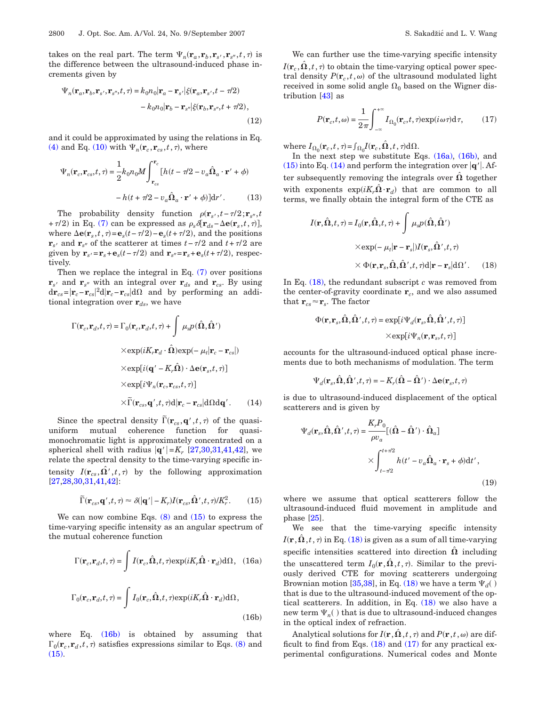takes on the real part. The term  $\Psi_n(\mathbf{r}_a, \mathbf{r}_b, \mathbf{r}_{s'}, \mathbf{r}_{s''}, t, \tau)$  is the difference between the ultrasound-induced phase increments given by

<span id="page-3-3"></span>
$$
\Psi_n(\mathbf{r}_a, \mathbf{r}_b, \mathbf{r}_s', \mathbf{r}_{s''}, t, \tau) = k_0 n_0 |\mathbf{r}_a - \mathbf{r}_{s'}| \xi(\mathbf{r}_a, \mathbf{r}_{s'}, t - \tau/2)
$$

$$
- k_0 n_0 |\mathbf{r}_b - \mathbf{r}_{s''}| \xi(\mathbf{r}_b, \mathbf{r}_{s''}, t + \tau/2), \tag{12}
$$

and it could be approximated by using the relations in Eq. [\(4\)](#page-1-1) and Eq. [\(10\)](#page-2-3) with  $\Psi_n(\mathbf{r}_c, \mathbf{r}_{cs}, t, \tau)$ , where

$$
\Psi_n(\mathbf{r}_c, \mathbf{r}_{cs}, t, \tau) = \frac{1}{2} k_0 n_0 M \int_{\mathbf{r}_{cs}}^{\mathbf{r}_c} [h(t - \tau/2 - v_a \hat{\Omega}_a \cdot \mathbf{r}' + \phi) - h(t + \tau/2 - v_a \hat{\Omega}_a \cdot \mathbf{r}' + \phi)] \mathrm{d}r'. \tag{13}
$$

The probability density function  $\rho(\mathbf{r}_{s'}, t - \tau/2; \mathbf{r}_{s''}, t)$ + $\tau/2$ ) in Eq. [\(7\)](#page-2-2) can be expressed as  $\rho_s \delta[\mathbf{r}_{ds} - \Delta \mathbf{e}(\mathbf{r}_s, t, \tau)],$ where  $\Delta \mathbf{e}(\mathbf{r}_s, t, \tau) = \mathbf{e}_s(t - \tau/2) - \mathbf{e}_s(t + \tau/2)$ , and the positions **r**<sub>*s*</sub><sup> $prime$ </sup> and **r**<sub>*s*<sup> $prime$ </sup> of the scatterer at times *t*− $\tau$ /2 and  $t + \tau$ /2 are</sub> given by  $\mathbf{r}_s = \mathbf{r}_s + \mathbf{e}_s(t - \tau/2)$  and  $\mathbf{r}_{s'} = \mathbf{r}_s + \mathbf{e}_s(t + \tau/2)$ , respectively.

Then we replace the integral in Eq. [\(7\)](#page-2-2) over positions  $\mathbf{r}_{s'}$  and  $\mathbf{r}_{s''}$  with an integral over  $\mathbf{r}_{ds}$  and  $\mathbf{r}_{cs}$ . By using  $d\mathbf{r}_{cs} = |\mathbf{r}_c - \mathbf{r}_{cs}|^2 d|\mathbf{r}_c - \mathbf{r}_{cs}| d\Omega$  and by performing an additional integration over **r***ds*, we have

$$
\Gamma(\mathbf{r}_c, \mathbf{r}_d, t, \tau) = \Gamma_0(\mathbf{r}_c, \mathbf{r}_d, t, \tau) + \int \mu_s p(\hat{\Omega}, \hat{\Omega}')
$$
  
× $\exp(iK_r \mathbf{r}_d \cdot \hat{\Omega}) \exp(-\mu_t |\mathbf{r}_c - \mathbf{r}_{cs}|)$   
× $\exp[i(\mathbf{q}' - K_r \hat{\Omega}) \cdot \Delta \mathbf{e}(\mathbf{r}_s, t, \tau)]$   
× $\exp[i\Psi_n(\mathbf{r}_c, \mathbf{r}_{cs}, t, \tau)]$   
× $\widetilde{\Gamma}(\mathbf{r}_{cs}, \mathbf{q}', t, \tau) \mathrm{d} |\mathbf{r}_c - \mathbf{r}_{cs}| \mathrm{d}\Omega \mathrm{d}\mathbf{q}'.$  (14)

Since the spectral density  $\tilde{\Gamma}(\mathbf{r}_{cs}, \mathbf{q}', t, \tau)$  of the quasiuniform mutual coherence function for quasimonochromatic light is approximately concentrated on a spherical shell with radius  $|{\bf q}'| = K_r$  [\[27,](#page-9-18)[30,](#page-9-20)[31,](#page-9-21)[41,](#page-9-22)[42\]](#page-9-23), we relate the spectral density to the time-varying specific intensity  $I(\mathbf{r}_{cs}, \hat{\Omega}', t, \tau)$  by the following approximation [\[27,](#page-9-18)[28,](#page-9-24)[30](#page-9-20)[,31](#page-9-21)[,41](#page-9-22)[,42\]](#page-9-23):

$$
\widetilde{\Gamma}(\mathbf{r}_{cs}, \mathbf{q}', t, \tau) \approx \delta(|\mathbf{q}'| - K_r) I(\mathbf{r}_{cs}, \hat{\mathbf{\Omega}}', t, \tau) / K_r^2.
$$
 (15)

<span id="page-3-0"></span>We can now combine Eqs.  $(8)$  and  $(15)$  to express the time-varying specific intensity as an angular spectrum of the mutual coherence function

<span id="page-3-2"></span><span id="page-3-1"></span>
$$
\Gamma(\mathbf{r}_c, \mathbf{r}_d, t, \tau) = \int I(\mathbf{r}_c, \hat{\mathbf{\Omega}}, t, \tau) \exp(iK_r \hat{\mathbf{\Omega}} \cdot \mathbf{r}_d) d\Omega, (16a)
$$

$$
\Gamma_0(\mathbf{r}_c, \mathbf{r}_d, t, \tau) = \int I_0(\mathbf{r}_c, \hat{\mathbf{\Omega}}, t, \tau) \exp(iK_r \hat{\mathbf{\Omega}} \cdot \mathbf{r}_d) d\Omega,
$$
(16b)

where Eq.  $(16b)$  is obtained by assuming that  $\Gamma_0(\mathbf{r}_c, \mathbf{r}_d, t, \tau)$  satisfies expressions similar to Eqs. [\(8\)](#page-2-4) and  $(15)$ .

We can further use the time-varying specific intensity  $I({\bf r}_c, \hat{\bf \Omega}\, ,t\, \tau)$  to obtain the time-varying optical power spectral density  $P(\mathbf{r}_c, t, \omega)$  of the ultrasound modulated light received in some solid angle  $\Omega_0$  based on the Wigner distribution [\[43\]](#page-9-25) as

<span id="page-3-5"></span>
$$
P(\mathbf{r}_c, t, \omega) = \frac{1}{2\pi} \int_{-\infty}^{+\infty} I_{\Omega_0}(\mathbf{r}_c, t, \tau) \exp(i\,\omega\tau) \mathrm{d}\,\tau,\tag{17}
$$

where  $I_{\Omega_0}(\mathbf{r}_c, t, \tau) = \int_{\Omega_0} I(\mathbf{r}_c, \hat{\Omega}, t, \tau) d\Omega$ .

In the next step we substitute Eqs.  $(16a)$ ,  $(16b)$ , and [\(15\)](#page-3-0) into Eq. [\(14\)](#page-3-3) and perform the integration over  $|q'|$ . After subsequently removing the integrals over  $\hat{\Omega}$  together with exponents  $exp(iK_r\hat{\Omega} \cdot \mathbf{r}_d)$  that are common to all terms, we finally obtain the integral form of the CTE as

<span id="page-3-4"></span>
$$
I(\mathbf{r}, \hat{\mathbf{\Omega}}, t, \tau) = I_0(\mathbf{r}, \hat{\mathbf{\Omega}}, t, \tau) + \int \mu_s p(\hat{\mathbf{\Omega}}, \hat{\mathbf{\Omega}}')
$$
  
× $\exp(-\mu_t |\mathbf{r} - \mathbf{r}_s|) I(\mathbf{r}_s, \hat{\mathbf{\Omega}}', t, \tau)$   
× $\Phi(\mathbf{r}, \mathbf{r}_s, \hat{\mathbf{\Omega}}, \hat{\mathbf{\Omega}}', t, \tau) d |\mathbf{r} - \mathbf{r}_s| d\Omega'.$  (18)

In Eq. [\(18\),](#page-3-4) the redundant subscript *c* was removed from the center-of-gravity coordinate **r***c*, and we also assumed that  $\mathbf{r}_{cs} \approx \mathbf{r}_s$ . The factor

$$
\begin{aligned} \Phi(\mathbf{r},\mathbf{r}_s,\hat{\mathbf{\Omega}},\hat{\mathbf{\Omega}}',t,\tau)=&\exp[i\Psi_d(\mathbf{r}_s,\hat{\mathbf{\Omega}},\hat{\mathbf{\Omega}}',t,\tau)]\\ &\times\exp[i\Psi_n(\mathbf{r},\mathbf{r}_s,t,\tau)] \end{aligned}
$$

accounts for the ultrasound-induced optical phase increments due to both mechanisms of modulation. The term

$$
\Psi_d(\mathbf{r}_s, \hat{\boldsymbol{\Omega}}, \hat{\boldsymbol{\Omega}}', t, \tau) = -\,K_r(\hat{\boldsymbol{\Omega}} - \hat{\boldsymbol{\Omega}}')\cdot\Delta\mathbf{e}(\mathbf{r}_s, t, \tau)
$$

is due to ultrasound-induced displacement of the optical scatterers and is given by

$$
\Psi_d(\mathbf{r}_s, \hat{\mathbf{\Omega}}, \hat{\mathbf{\Omega}}', t, \tau) = \frac{K_r P_0}{\rho v_a} [(\hat{\mathbf{\Omega}} - \hat{\mathbf{\Omega}}') \cdot \hat{\mathbf{\Omega}}_a]
$$

$$
\times \int_{t-\tau/2}^{t+\tau/2} h(t' - v_a \hat{\mathbf{\Omega}}_a \cdot \mathbf{r}_s + \phi) dt',
$$
(19)

where we assume that optical scatterers follow the ultrasound-induced fluid movement in amplitude and phase [\[25\]](#page-9-9).

We see that the time-varying specific intensity  $I(\mathbf{r}, \hat{\mathbf{\Omega}}, t, \tau)$  in Eq. [\(18\)](#page-3-4) is given as a sum of all time-varying specific intensities scattered into direction  $\Omega$  including the unscattered term  $I_0(\mathbf{r}, \hat{\Omega}, t, \tau)$ . Similar to the previously derived CTE for moving scatterers undergoing Brownian motion [\[35,](#page-9-14)[38\]](#page-9-15), in Eq.  $(18)$  we have a term  $\Psi_d()$ that is due to the ultrasound-induced movement of the optical scatterers. In addition, in Eq. [\(18\)](#page-3-4) we also have a new term  $\Psi_n(\ )$  that is due to ultrasound-induced changes in the optical index of refraction.

Analytical solutions for  $I(\mathbf{r}, \hat{\mathbf{\Omega}}, t, \tau)$  and  $P(\mathbf{r}, t, \omega)$  are difficult to find from Eqs.  $(18)$  and  $(17)$  for any practical experimental configurations. Numerical codes and Monte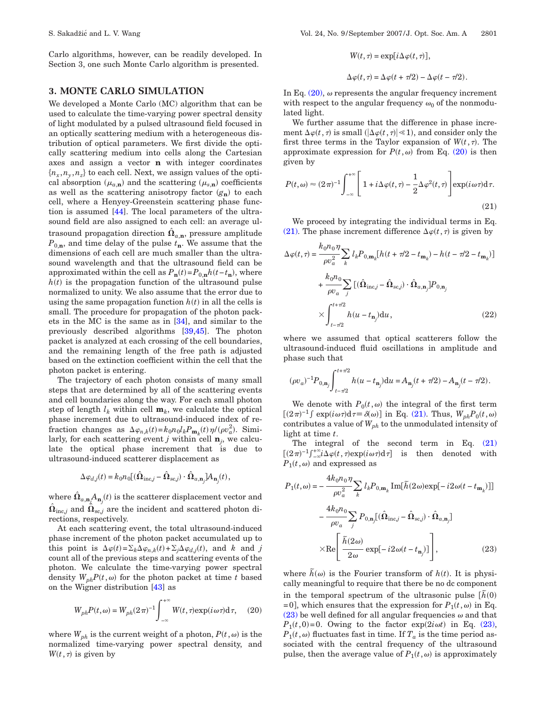Carlo algorithms, however, can be readily developed. In Section 3, one such Monte Carlo algorithm is presented.

## **3. MONTE CARLO SIMULATION**

We developed a Monte Carlo (MC) algorithm that can be used to calculate the time-varying power spectral density of light modulated by a pulsed ultrasound field focused in an optically scattering medium with a heterogeneous distribution of optical parameters. We first divide the optically scattering medium into cells along the Cartesian axes and assign a vector **n** with integer coordinates  ${n_x, n_y, n_z}$  to each cell. Next, we assign values of the optical absorption  $(\mu_{a,n})$  and the scattering  $(\mu_{s,n})$  coefficients as well as the scattering anisotropy factor  $(g_n)$  to each cell, where a Henyey-Greenstein scattering phase function is assumed [\[44\]](#page-9-26). The local parameters of the ultrasound field are also assigned to each cell: an average ultrasound propagation direction  $\hat{\Omega}_{a,n}$ , pressure amplitude  $P_{0,\mathbf{n}}$ , and time delay of the pulse  $t_{\mathbf{n}}$ . We assume that the dimensions of each cell are much smaller than the ultrasound wavelength and that the ultrasound field can be approximated within the cell as  $P_{n}(t) = P_{0,n}h(t-t_{n})$ , where  $h(t)$  is the propagation function of the ultrasound pulse normalized to unity. We also assume that the error due to using the same propagation function  $h(t)$  in all the cells is small. The procedure for propagation of the photon packets in the MC is the same as in [\[34\]](#page-9-13), and similar to the previously described algorithms [\[39](#page-9-16)[,45\]](#page-9-27). The photon packet is analyzed at each crossing of the cell boundaries, and the remaining length of the free path is adjusted based on the extinction coefficient within the cell that the photon packet is entering.

The trajectory of each photon consists of many small steps that are determined by all of the scattering events and cell boundaries along the way. For each small photon step of length  $l_k$  within cell  $\mathbf{m}_k$ , we calculate the optical phase increment due to ultrasound-induced index of refraction changes as  $\Delta \varphi_{n,k}(t) = k_0 n_0 l_k P_{\mathbf{m}_k}(t) \eta/(\rho v_a^2)$ . Similarly, for each scattering event *j* within cell  $\mathbf{n}_i$ , we calculate the optical phase increment that is due to ultrasound-induced scatterer displacement as

$$
\Delta\varphi_{d,j}(t)=k_0n_0\big[(\hat{\Omega}_{\text{inc},j}-\hat{\Omega}_{\text{sc},j})\cdot\hat{\Omega}_{a,\textbf{n}_j}]A_{\textbf{n}_j}(t),
$$

where  $\hat{\mathbf{\Omega}}_{a,\mathbf{n}_j}\!\!\left(A_{\mathbf{n}_j}\!\!\left(t\right)\right)$  is the scatterer displacement vector and  $\hat{\mathbf{\Omega}}_{\text{inc},j}$  and  $\hat{\mathbf{\Omega}}_{\text{sc},j}$  are the incident and scattered photon directions, respectively.

At each scattering event, the total ultrasound-induced phase increment of the photon packet accumulated up to this point is  $\Delta \varphi(t) = \sum_k \Delta \varphi_{n,k}(t) + \sum_j \Delta \varphi_{d,j}(t)$ , and *k* and *j* count all of the previous steps and scattering events of the photon. We calculate the time-varying power spectral density  $W_{ph}P(t,\omega)$  for the photon packet at time *t* based on the Wigner distribution [\[43\]](#page-9-25) as

<span id="page-4-0"></span>
$$
W_{ph}P(t,\omega) = W_{ph}(2\pi)^{-1} \int_{-\infty}^{+\infty} W(t,\tau) \exp(i\,\omega\,\tau) d\,\tau,\qquad(20)
$$

where  $W_{ph}$  is the current weight of a photon,  $P(t, \omega)$  is the normalized time-varying power spectral density, and  $W(t, \tau)$  is given by

$$
W(t, \tau) = \exp[i\Delta\varphi(t, \tau)],
$$
  

$$
\Delta\varphi(t, \tau) = \Delta\varphi(t + \tau/2) - \Delta\varphi(t - \tau/2).
$$

= exp*it*,-

In Eq.  $(20)$ ,  $\omega$  represents the angular frequency increment with respect to the angular frequency  $\omega_0$  of the nonmodulated light.

We further assume that the difference in phase increment  $\Delta \varphi(t,\tau)$  is small  $(|\Delta \varphi(t,\tau)| \ll 1)$ , and consider only the first three terms in the Taylor expansion of  $W(t, \tau)$ . The approximate expression for  $P(t, \omega)$  from Eq. [\(20\)](#page-4-0) is then given by

<span id="page-4-1"></span>
$$
P(t,\omega) \approx (2\pi)^{-1} \int_{-\infty}^{+\infty} \left[ 1 + i\Delta\varphi(t,\tau) - \frac{1}{2}\Delta\varphi^{2}(t,\tau) \right] \exp(i\omega\tau) d\tau.
$$
\n(21)

We proceed by integrating the individual terms in Eq. [\(21\).](#page-4-1) The phase increment difference  $\Delta \varphi(t,\tau)$  is given by

$$
\Delta \varphi(t,\tau) = \frac{k_0 n_0 \eta}{\rho v_a^2} \sum_k l_k P_{0,\mathbf{m}_k} [h(t + \tau/2 - t_{\mathbf{m}_k}) - h(t - \tau/2 - t_{\mathbf{m}_k})]
$$
  
+ 
$$
\frac{k_0 n_0}{\rho v_a} \sum_j [(\hat{\Omega}_{\text{inc},j} - \hat{\Omega}_{\text{sc},j}) \cdot \hat{\Omega}_{a,\mathbf{n}_j}] P_{0,\mathbf{n}_j}
$$
  

$$
\times \int_{t - \tau/2}^{t + \tau/2} h(u - t_{\mathbf{n}_j}) \, \mathrm{d}u, \tag{22}
$$

where we assumed that optical scatterers follow the ultrasound-induced fluid oscillations in amplitude and phase such that

$$
(\rho v_a)^{-1} P_{0,{\mathbf n}_j} \! \int_{t-\tau/2}^{t+\tau/2} h(u-t_{{\mathbf n}_j}) {\rm d} u = A_{{\mathbf n}_j}(t+\tau/2) - A_{{\mathbf n}_j}(t-\tau/2) \, .
$$

We denote with  $P_0(t, \omega)$  the integral of the first term  $[(2\pi)^{-1} \int \exp(i\omega \tau) d\tau \equiv \delta(\omega)]$  in Eq. [\(21\).](#page-4-1) Thus,  $W_{ph}P_0(t,\omega)$ contributes a value of  $W_{ph}$  to the unmodulated intensity of light at time *t*.

The integral of the second term in Eq. [\(21\)](#page-4-1)  $[(2\pi)^{-1}\int_{-\infty}^{+\infty} i\Delta\varphi(t,\tau) \exp(i\omega\tau) d\tau]$  is then denoted with  $P_1(t, \omega)$  and expressed as

<span id="page-4-2"></span>
$$
P_{1}(t,\omega) = -\frac{4k_{0}n_{0}\eta}{\rho v_{a}^{2}} \sum_{k} l_{k}P_{0,\mathbf{m}_{k}} \operatorname{Im}[\tilde{h}(2\omega)\exp[-i2\omega(t - t_{\mathbf{m}_{k}})]]
$$

$$
-\frac{4k_{0}n_{0}}{\rho v_{a}} \sum_{j} P_{0,\mathbf{n}_{j}}[(\hat{\mathbf{\Omega}}_{\text{inc},j} - \hat{\mathbf{\Omega}}_{\text{sc},j}) \cdot \hat{\mathbf{\Omega}}_{a,\mathbf{n}_{j}}]
$$

$$
\times \operatorname{Re}\left[\frac{\tilde{h}(2\omega)}{2\omega}\exp[-i2\omega(t - t_{\mathbf{n}_{j}})]\right],
$$
(23)

where  $\tilde{h}(\omega)$  is the Fourier transform of  $h(t)$ . It is physically meaningful to require that there be no dc component in the temporal spectrum of the ultrasonic pulse  $[\tilde{h}(0)]$  $=0$ , which ensures that the expression for  $P_1(t,\omega)$  in Eq. [\(23\)](#page-4-2) be well defined for all angular frequencies  $\omega$  and that  $P_1(t,0)=0$ . Owing to the factor  $\exp(2i\omega t)$  in Eq. [\(23\),](#page-4-2)  $P_1(t,\omega)$  fluctuates fast in time. If  $T_a$  is the time period associated with the central frequency of the ultrasound pulse, then the average value of  $P_1(t, \omega)$  is approximately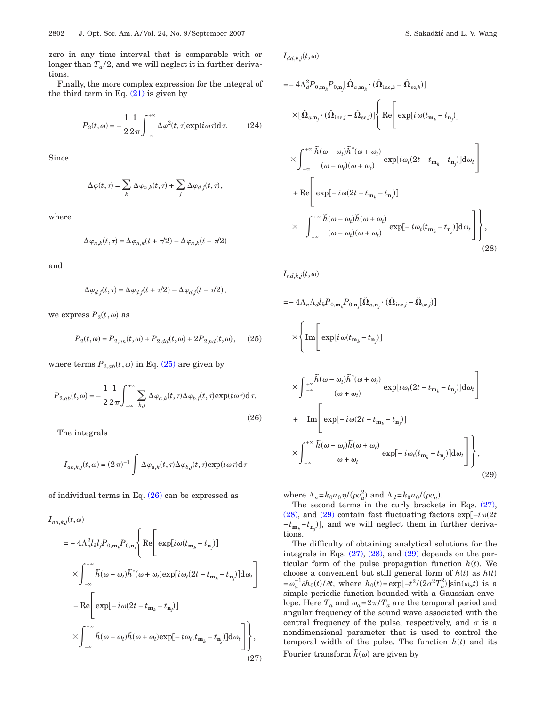zero in any time interval that is comparable with or longer than  $T_a/2$ , and we will neglect it in further derivations.

<span id="page-5-2"></span>Finally, the more complex expression for the integral of the third term in Eq.  $(21)$  is given by

$$
P_2(t,\omega) = -\frac{1}{2} \frac{1}{2\pi} \int_{-\infty}^{+\infty} \Delta \varphi^2(t,\tau) \exp(i\,\omega\,\tau) \mathrm{d}\,\tau. \tag{24}
$$

Since

$$
\Delta \varphi(t, \tau) = \sum_{k} \Delta \varphi_{n,k}(t, \tau) + \sum_{j} \Delta \varphi_{d,j}(t, \tau),
$$

where

$$
\Delta \varphi_{n,k}(t,\tau) = \Delta \varphi_{n,k}(t + \tau/2) - \Delta \varphi_{n,k}(t - \tau/2)
$$

and

$$
\Delta \varphi_{d,j}(t,\tau) = \Delta \varphi_{d,j}(t + \tau/2) - \Delta \varphi_{d,j}(t - \tau/2),
$$

<span id="page-5-0"></span>we express  $P_2(t, \omega)$  as

$$
P_2(t, \omega) = P_{2,nn}(t, \omega) + P_{2,dd}(t, \omega) + 2P_{2,nd}(t, \omega), \quad (25)
$$

where terms  $P_{2,ab}(t,\omega)$  in Eq. [\(25\)](#page-5-0) are given by

<span id="page-5-1"></span>
$$
P_{2,ab}(t,\omega) = -\frac{1}{2} \frac{1}{2\pi} \int_{-\infty}^{+\infty} \sum_{k,j} \Delta \varphi_{a,k}(t,\tau) \Delta \varphi_{b,j}(t,\tau) \exp(i\omega \tau) d\tau.
$$
\n(26)

The integrals

$$
I_{ab,k,j}(t,\omega)=(2\,\pi)^{-1}\int\,\Delta\varphi_{a,k}(t,\tau)\Delta\varphi_{b,j}(t,\tau)\mathrm{exp}(i\,\omega\tau)\mathrm{d}\,\tau
$$

of individual terms in Eq.  $(26)$  can be expressed as

$$
I_{nn,k,j}(t,\omega)
$$
  
\n
$$
= -4\Lambda_n^2 l_k l_j P_{0,\mathbf{m}_k} P_{0,\mathbf{n}_j} \Bigg\{ \text{Re} \Bigg[ \exp[i\omega(t_{\mathbf{m}_k} - t_{\mathbf{n}_j})] \Bigg]
$$
  
\n
$$
\times \int_{-\infty}^{+\infty} \tilde{h}(\omega - \omega_t) \tilde{h}^*(\omega + \omega_t) \exp[i\omega_t(2t - t_{\mathbf{m}_k} - t_{\mathbf{n}_j})] d\omega_t \Bigg]
$$
  
\n
$$
- \text{Re} \Bigg[ \exp[-i\omega(2t - t_{\mathbf{m}_k} - t_{\mathbf{n}_j})]
$$
  
\n
$$
\times \int_{-\infty}^{+\infty} \tilde{h}(\omega - \omega_t) \tilde{h}(\omega + \omega_t) \exp[-i\omega_t(t_{\mathbf{m}_k} - t_{\mathbf{n}_j})] d\omega_t \Bigg] \Bigg\},
$$
  
\n(27)

<span id="page-5-3"></span>
$$
I_{dd,k,j}(t,\omega)
$$

$$
= -4\Lambda_d^2 P_{0,\mathbf{m}_k} P_{0,\mathbf{n}_j} [\hat{\mathbf{\Omega}}_{a,\mathbf{m}_k} \cdot (\hat{\mathbf{\Omega}}_{\text{inc},k} - \hat{\mathbf{\Omega}}_{\text{sc},k})]
$$
  
\n
$$
\times [\hat{\mathbf{\Omega}}_{a,\mathbf{n}_j} \cdot (\hat{\mathbf{\Omega}}_{\text{inc},j} - \hat{\mathbf{\Omega}}_{\text{sc},j})] \left\{ \text{Re} \left[ \exp[i \omega (t_{\mathbf{m}_k} - t_{\mathbf{n}_j})] \right. \right.
$$
  
\n
$$
\times \int_{-\infty}^{+\infty} \frac{\tilde{h}(\omega - \omega_t)\tilde{h}^*(\omega + \omega_t)}{(\omega - \omega_t)(\omega + \omega_t)} \exp[i \omega_t (2t - t_{\mathbf{m}_k} - t_{\mathbf{n}_j})] d\omega_t \right]
$$
  
\n
$$
+ \text{Re} \left[ \exp[-i \omega (2t - t_{\mathbf{m}_k} - t_{\mathbf{n}_j})]
$$
  
\n
$$
\times \int_{-\infty}^{+\infty} \frac{\tilde{h}(\omega - \omega_t)\tilde{h}(\omega + \omega_t)}{(\omega - \omega_t)(\omega + \omega_t)} \exp[-i \omega_t (t_{\mathbf{m}_k} - t_{\mathbf{n}_j})] d\omega_t \right],
$$
  
\n(28)

<span id="page-5-4"></span> $I_{nd,k,j}(t, \omega)$ 

$$
= - 4\Lambda_n \Lambda_d l_k P_{0,\mathbf{m}_k} P_{0,\mathbf{n}_j} \left[ \hat{\Omega}_{a,\mathbf{n}_j} \cdot (\hat{\Omega}_{\text{inc},j} - \hat{\Omega}_{\text{sc},j}) \right]
$$

$$
\times \left\{ \text{Im} \left[ \exp[i \omega (t_{\mathbf{m}_k} - t_{\mathbf{n}_j})] \right] \right\}
$$

$$
\times \int_{-\infty}^{+\infty} \frac{\tilde{h}(\omega - \omega_t) \tilde{h}^*(\omega + \omega_t)}{(\omega + \omega_t)} \exp[i\omega_t(2t - t_{\mathbf{m}_k} - t_{\mathbf{n}_j})] d\omega_t
$$
  
+ Im  $\left[ \exp[-i\omega(2t - t_{\mathbf{m}_k} - t_{\mathbf{n}_j})] \right]$   

$$
\times \int_{-\infty}^{+\infty} \frac{\tilde{h}(\omega - \omega_t) \tilde{h}(\omega + \omega_t)}{\omega + \omega_t} \exp[-i\omega_t(t_{\mathbf{m}_k} - t_{\mathbf{n}_j})] d\omega_t \right],
$$
(29)

where  $\Lambda_n = k_0 n_0 \eta / (\rho v_a^2)$  and  $\Lambda_d = k_0 n_0 / (\rho v_a)$ .

The second terms in the curly brackets in Eqs. [\(27\),](#page-5-2) [\(28\),](#page-5-3) and [\(29\)](#page-5-4) contain fast fluctuating factors  $\exp[-i\omega(2t)]$ −*t*<sub>**m**<sup>*k*</sup></sub> −*t*<sub>**n**<sup>*j*</sup></sub>), and we will neglect them in further derivations.

The difficulty of obtaining analytical solutions for the integrals in Eqs. [\(27\),](#page-5-2) [\(28\),](#page-5-3) and [\(29\)](#page-5-4) depends on the particular form of the pulse propagation function  $h(t)$ . We choose a convenient but still general form of  $h(t)$  as  $h(t)$  $=\omega_a^{-1} \partial h_0(t) / \partial t$ , where  $h_0(t) = \exp[-t^2 / (2\sigma^2 T_a^2)] \sin(\omega_a t)$  is a simple periodic function bounded with a Gaussian envelope. Here  $T_a$  and  $\omega_a = 2\pi/T_a$  are the temporal period and angular frequency of the sound wave associated with the central frequency of the pulse, respectively, and  $\sigma$  is a nondimensional parameter that is used to control the temporal width of the pulse. The function  $h(t)$  and its Fourier transform  $hbar(\omega)$  are given by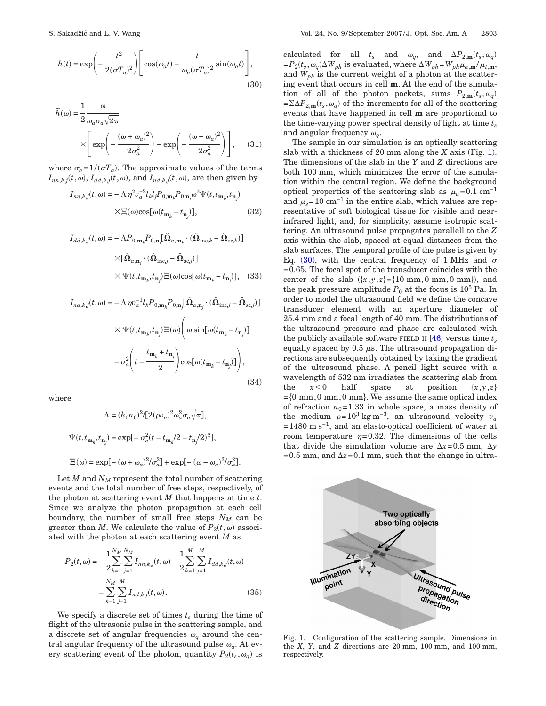<span id="page-6-1"></span>
$$
h(t) = \exp\left(-\frac{t^2}{2(\sigma T_a)^2}\right) \left[\cos(\omega_a t) - \frac{t}{\omega_a(\sigma T_a)^2}\sin(\omega_a t)\right],
$$
\n(30)

$$
\widetilde{h}(\omega) = \frac{1}{2} \frac{\omega}{\omega_a \sigma_a \sqrt{2\pi}} \times \left[ \exp\left(-\frac{(\omega + \omega_a)^2}{2\sigma_a^2}\right) - \exp\left(-\frac{(\omega - \omega_a)^2}{2\sigma_a^2}\right) \right], \quad (31)
$$

where  $\sigma_a = 1/(\sigma T_a)$ . The approximate values of the terms  $I_{nn,k,j}(t, \omega)$ ,  $I_{dd,k,j}(t, \omega)$ , and  $I_{nd,k,j}(t, \omega)$ , are then given by

$$
I_{nn,k,j}(t,\omega) = -\Lambda \eta^2 v_a^{-2} l_k l_j P_{0,\mathbf{m}_k} P_{0,\mathbf{n}_j} \omega^2 \Psi(t, t_{\mathbf{m}_k}, t_{\mathbf{n}_j})
$$

$$
\times \Xi(\omega) \cos[\omega(t_{\mathbf{m}_k} - t_{\mathbf{n}_j})],
$$
(32)

$$
I_{dd,k,j}(t,\omega) = -\Lambda P_{0,\mathbf{m}_k} P_{0,\mathbf{n}_j} [\hat{\mathbf{\Omega}}_{a,\mathbf{m}_k} \cdot (\hat{\mathbf{\Omega}}_{\text{inc},k} - \hat{\mathbf{\Omega}}_{\text{sc},k})]
$$

$$
\times [\hat{\mathbf{\Omega}}_{a,\mathbf{n}_j} \cdot (\hat{\mathbf{\Omega}}_{\text{inc},j} - \hat{\mathbf{\Omega}}_{\text{sc},j})]
$$

$$
\times \Psi(t, t_{\mathbf{m}_k}, t_{\mathbf{n}_j}) \Xi(\omega) \cos[\omega(t_{\mathbf{m}_k} - t_{\mathbf{n}_j})], \quad (33)
$$

$$
I_{nd,k,j}(t,\omega) = -\Lambda \eta v_a^{-1} l_k P_{0,\mathbf{m}_k} P_{0,\mathbf{n}_j} \left[ \hat{\Omega}_{a,\mathbf{n}_j} \cdot (\hat{\Omega}_{\text{inc},j} - \hat{\Omega}_{\text{sc},j}) \right]
$$

$$
\times \Psi(t, t_{\mathbf{m}_k}, t_{\mathbf{n}_j}) \Xi(\omega) \left( \omega \sin[\omega(t_{\mathbf{m}_k} - t_{\mathbf{n}_j})] - \sigma_a^2 \left( t - \frac{t_{\mathbf{m}_k} + t_{\mathbf{n}_j}}{2} \right) \cos[\omega(t_{\mathbf{m}_k} - t_{\mathbf{n}_j})] \right), \tag{34}
$$

where

$$
\Lambda=(k_0n_0)^2/[2(\rho v_a)^2\omega_a^2\sigma_a\sqrt{\pi}],
$$
  

$$
\Psi(t,t_{\mathbf{m}_k},t_{\mathbf{n}_j})=\exp[-\sigma_a^2(t-t_{\mathbf{m}_k}/2-t_{\mathbf{n}_j}/2)^2],
$$
  

$$
\Xi(\omega)=\exp[-(\omega+\omega_a)^2/\sigma_a^2]+\exp[-(\omega-\omega_a)^2/\sigma_a^2].
$$

Let  $M$  and  $N_M$  represent the total number of scattering events and the total number of free steps, respectively, of the photon at scattering event *M* that happens at time *t*. Since we analyze the photon propagation at each cell boundary, the number of small free steps  $N_M$  can be greater than *M*. We calculate the value of  $P_2(t, \omega)$  associated with the photon at each scattering event *M* as

$$
P_2(t,\omega) = -\frac{1}{2} \sum_{k=1}^{N_M} \sum_{j=1}^{N_M} I_{nn,k,j}(t,\omega) - \frac{1}{2} \sum_{k=1}^{M} \sum_{j=1}^{M} I_{dd,k,j}(t,\omega)
$$

$$
- \sum_{k=1}^{N_M} \sum_{j=1}^{M} I_{nd,k,j}(t,\omega). \tag{35}
$$

We specify a discrete set of times  $t_s$  during the time of flight of the ultrasonic pulse in the scattering sample, and a discrete set of angular frequencies  $\omega_q$  around the central angular frequency of the ultrasound pulse  $\omega_a$ . At every scattering event of the photon, quantity  $P_2(t_s, \omega_q)$  is

calculated for all  $t_s$  and  $\omega_q$ , and  $\Delta P_{2,\text{m}}(t_s,\omega_q)$  $= P_2(t_s, \omega_q) \Delta W_{ph}$  is evaluated, where  $\Delta W_{ph} = W_{ph} \mu_{a,m} / \mu_{t,m}$ , and  $W_{ph}$  is the current weight of a photon at the scattering event that occurs in cell **m**. At the end of the simulation of all of the photon packets, sums  $P_{2,\mathbf{m}}(t_s, \omega_q)$  $=\Sigma\Delta P_{2,\text{m}}(t_s,\omega_q)$  of the increments for all of the scattering events that have happened in cell **m** are proportional to the time-varying power spectral density of light at time  $t_s$ and angular frequency  $\omega_q$ .

The sample in our simulation is an optically scattering slab with a thickness of 20 mm along the *X* axis (Fig. [1\)](#page-6-0). The dimensions of the slab in the *Y* and *Z* directions are both 100 mm, which minimizes the error of the simulation within the central region. We define the background optical properties of the scattering slab as  $\mu_a$ =0.1 cm<sup>-1</sup> and  $\mu_s$ =10 cm<sup>-1</sup> in the entire slab, which values are representative of soft biological tissue for visible and nearinfrared light, and, for simplicity, assume isotropic scattering. An ultrasound pulse propagates parallell to the *Z* axis within the slab, spaced at equal distances from the slab surfaces. The temporal profile of the pulse is given by Eq. [\(30\),](#page-6-1) with the central frequency of 1 MHz and  $\sigma$ =0.65. The focal spot of the transducer coincides with the center of the slab  $({x,y,z}=\{10 \text{ mm},0 \text{ mm},0 \text{ mm}})$ , and the peak pressure amplitude  $P_0$  at the focus is  $10^5$  Pa. In order to model the ultrasound field we define the concave transducer element with an aperture diameter of 25.4 mm and a focal length of 40 mm. The distributions of the ultrasound pressure and phase are calculated with the publicly available software FIELD II  $[46]$  versus time  $t_s$ equally spaced by 0.5  $\mu$ s. The ultrasound propagation directions are subsequently obtained by taking the gradient of the ultrasound phase. A pencil light source with a wavelength of 532 nm irradiates the scattering slab from the  $x < 0$  half space at position  $\{x, y, z\}$  $=[0 \text{ mm},0 \text{ mm},0 \text{ mm}]$ . We assume the same optical index of refraction  $n_0$ =1.33 in whole space, a mass density of the medium  $\rho=10^3 \text{ kg m}^{-3}$ , an ultrasound velocity  $v_a$  $=1480 \text{ m s}^{-1}$ , and an elasto-optical coefficient of water at room temperature  $\eta = 0.32$ . The dimensions of the cells that divide the simulation volume are  $\Delta x = 0.5$  mm,  $\Delta y$  $=0.5$  mm, and  $\Delta z = 0.1$  mm, such that the change in ultra-

<span id="page-6-0"></span>

Fig. 1. Configuration of the scattering sample. Dimensions in the *X*, *Y*, and *Z* directions are 20 mm, 100 mm, and 100 mm, respectively.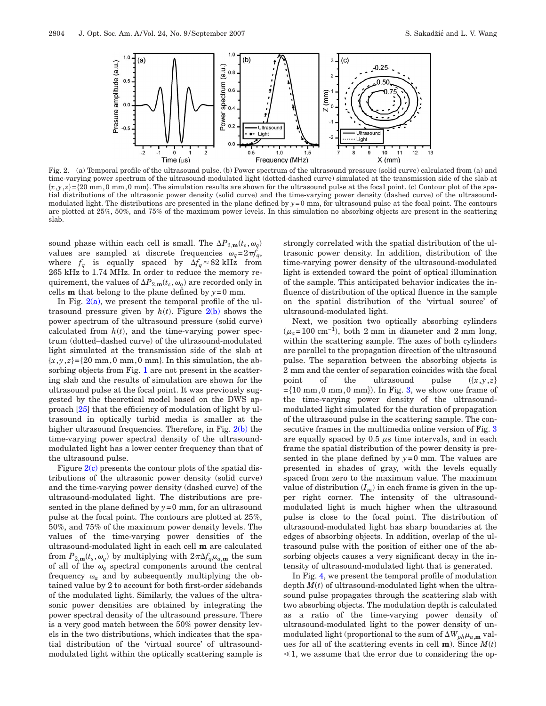<span id="page-7-0"></span>

Fig. 2. (a) Temporal profile of the ultrasound pulse. (b) Power spectrum of the ultrasound pressure (solid curve) calculated from (a) and time-varying power spectrum of the ultrasound-modulated light (dotted-dashed curve) simulated at the transmission side of the slab at  $\{x,y,z\}$ = $\{20 \text{ mm},0 \text{ mm},0 \text{ mm}\}$ . The simulation results are shown for the ultrasound pulse at the focal point. (c) Contour plot of the spatial distributions of the ultrasonic power density (solid curve) and the time-varying power density (dashed curve) of the ultrasoundmodulated light. The distributions are presented in the plane defined by  $y=0$  mm, for ultrasound pulse at the focal point. The contours are plotted at 25%, 50%, and 75% of the maximum power levels. In this simulation no absorbing objects are present in the scattering slab.

sound phase within each cell is small. The  $\Delta P_{2,\text{m}}(t_s, \omega_q)$ values are sampled at discrete frequencies  $\omega_q = 2 \pi f_q$ , where  $f_q$  is equally spaced by  $\Delta f_q \approx 82 \text{ kHz}$  from 265 kHz to 1.74 MHz. In order to reduce the memory requirement, the values of  $\Delta P_{2,\textup{\textbf{m}}}(t_s, {\omega_q})$  are recorded only in cells **m** that belong to the plane defined by  $y = 0$  mm.

In Fig.  $2(a)$ , we present the temporal profile of the ultrasound pressure given by  $h(t)$ . Figure  $2(b)$  shows the power spectrum of the ultrasound pressure (solid curve) calculated from  $h(t)$ , and the time-varying power spectrum (dotted–dashed curve) of the ultrasound-modulated light simulated at the transmission side of the slab at  $\{x,y,z\} = \{20 \text{ mm},0 \text{ mm},0 \text{ mm}\}$ . In this simulation, the ab-sorbing objects from Fig. [1](#page-6-0) are not present in the scattering slab and the results of simulation are shown for the ultrasound pulse at the focal point. It was previously suggested by the theoretical model based on the DWS approach [\[25\]](#page-9-9) that the efficiency of modulation of light by ultrasound in optically turbid media is smaller at the higher ultrasound frequencies. Therefore, in Fig. [2\(b\)](#page-7-0) the time-varying power spectral density of the ultrasoundmodulated light has a lower center frequency than that of the ultrasound pulse.

Figure  $2(c)$  presents the contour plots of the spatial distributions of the ultrasonic power density (solid curve) and the time-varying power density (dashed curve) of the ultrasound-modulated light. The distributions are presented in the plane defined by  $y=0$  mm, for an ultrasound pulse at the focal point. The contours are plotted at 25%, 50%, and 75% of the maximum power density levels. The values of the time-varying power densities of the ultrasound-modulated light in each cell **m** are calculated from  $P_{2,m}(t_s, \omega_q)$  by multiplying with  $2\pi\Delta f_q\mu_{a,m}$  the sum of all of the  $\omega_q$  spectral components around the central frequency  $\omega_a$  and by subsequently multiplying the obtained value by 2 to account for both first-order sidebands of the modulated light. Similarly, the values of the ultrasonic power densities are obtained by integrating the power spectral density of the ultrasound pressure. There is a very good match between the 50% power density levels in the two distributions, which indicates that the spatial distribution of the 'virtual source' of ultrasoundmodulated light within the optically scattering sample is strongly correlated with the spatial distribution of the ultrasonic power density. In addition, distribution of the time-varying power density of the ultrasound-modulated light is extended toward the point of optical illumination of the sample. This anticipated behavior indicates the influence of distribution of the optical fluence in the sample on the spatial distribution of the 'virtual source' of ultrasound-modulated light.

Next, we position two optically absorbing cylinders  $(\mu_a=100 \text{ cm}^{-1})$ , both 2 mm in diameter and 2 mm long, within the scattering sample. The axes of both cylinders are parallel to the propagation direction of the ultrasound pulse. The separation between the absorbing objects is 2 mm and the center of separation coincides with the focal point of the ultrasound pulse  $\{x,y,z\}$  $=\{10 \text{ mm}, 0 \text{ mm}, 0 \text{ mm}\}\)$ . In Fig. [3,](#page-8-5) we show one frame of the time-varying power density of the ultrasoundmodulated light simulated for the duration of propagation of the ultrasound pulse in the scattering sample. The con-secutive frames in the multimedia online version of Fig. [3](#page-8-5) are equally spaced by  $0.5 \mu s$  time intervals, and in each frame the spatial distribution of the power density is presented in the plane defined by *y*=0 mm. The values are presented in shades of gray, with the levels equally spaced from zero to the maximum value. The maximum value of distribution  $(I_m)$  in each frame is given in the upper right corner. The intensity of the ultrasoundmodulated light is much higher when the ultrasound pulse is close to the focal point. The distribution of ultrasound-modulated light has sharp boundaries at the edges of absorbing objects. In addition, overlap of the ultrasound pulse with the position of either one of the absorbing objects causes a very significant decay in the intensity of ultrasound-modulated light that is generated.

In Fig. [4,](#page-8-6) we present the temporal profile of modulation depth  $M(t)$  of ultrasound-modulated light when the ultrasound pulse propagates through the scattering slab with two absorbing objects. The modulation depth is calculated as a ratio of the time-varying power density of ultrasound-modulated light to the power density of unmodulated light (proportional to the sum of  $\Delta W_{ph}\mu_{a,\text{m}}$  values for all of the scattering events in cell  $\mathbf{m}$ ). Since  $M(t)$  $\leq 1$ , we assume that the error due to considering the op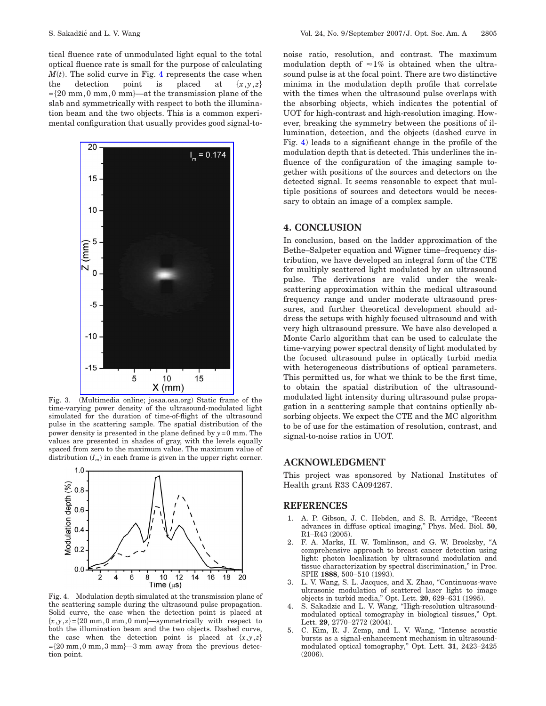tical fluence rate of unmodulated light equal to the total optical fluence rate is small for the purpose of calculating  $M(t)$ . The solid curve in Fig. [4](#page-8-6) represents the case when the detection point is placed at  $\{x,y,z\}$  $=[20 \text{ mm}, 0 \text{ mm}, 0 \text{ mm}]$ —at the transmission plane of the slab and symmetrically with respect to both the illumination beam and the two objects. This is a common experimental configuration that usually provides good signal-to-

<span id="page-8-5"></span>

Fig. 3. (Multimedia online; josaa.osa.org) Static frame of the time-varying power density of the ultrasound-modulated light simulated for the duration of time-of-flight of the ultrasound pulse in the scattering sample. The spatial distribution of the power density is presented in the plane defined by  $y = 0$  mm. The values are presented in shades of gray, with the levels equally spaced from zero to the maximum value. The maximum value of distribution  $(I_m)$  in each frame is given in the upper right corner.

<span id="page-8-6"></span>

Fig. 4. Modulation depth simulated at the transmission plane of the scattering sample during the ultrasound pulse propagation. Solid curve, the case when the detection point is placed at  $\{x,y,z\} = \{20 \text{ mm},0 \text{ mm},0 \text{ mm}\}$ —symmetrically with respect to both the illumination beam and the two objects. Dashed curve, the case when the detection point is placed at  $\{x,y,z\}$  $=\{20 \text{ mm}, 0 \text{ mm}, 3 \text{ mm}\}-3 \text{ mm}$  away from the previous detection point.

noise ratio, resolution, and contrast. The maximum modulation depth of  $\approx 1\%$  is obtained when the ultrasound pulse is at the focal point. There are two distinctive minima in the modulation depth profile that correlate with the times when the ultrasound pulse overlaps with the absorbing objects, which indicates the potential of UOT for high-contrast and high-resolution imaging. However, breaking the symmetry between the positions of illumination, detection, and the objects (dashed curve in Fig. [4\)](#page-8-6) leads to a significant change in the profile of the modulation depth that is detected. This underlines the influence of the configuration of the imaging sample together with positions of the sources and detectors on the detected signal. It seems reasonable to expect that multiple positions of sources and detectors would be necessary to obtain an image of a complex sample.

## **4. CONCLUSION**

In conclusion, based on the ladder approximation of the Bethe–Salpeter equation and Wigner time–frequency distribution, we have developed an integral form of the CTE for multiply scattered light modulated by an ultrasound pulse. The derivations are valid under the weakscattering approximation within the medical ultrasound frequency range and under moderate ultrasound pressures, and further theoretical development should address the setups with highly focused ultrasound and with very high ultrasound pressure. We have also developed a Monte Carlo algorithm that can be used to calculate the time-varying power spectral density of light modulated by the focused ultrasound pulse in optically turbid media with heterogeneous distributions of optical parameters. This permitted us, for what we think to be the first time, to obtain the spatial distribution of the ultrasoundmodulated light intensity during ultrasound pulse propagation in a scattering sample that contains optically absorbing objects. We expect the CTE and the MC algorithm to be of use for the estimation of resolution, contrast, and signal-to-noise ratios in UOT.

#### **ACKNOWLEDGMENT**

This project was sponsored by National Institutes of Health grant R33 CA094267.

#### **REFERENCES**

- <span id="page-8-0"></span>1. A. P. Gibson, J. C. Hebden, and S. R. Arridge, "Recent advances in diffuse optical imaging," Phys. Med. Biol. **50**, R1–R43 (2005).
- <span id="page-8-1"></span>2. F. A. Marks, H. W. Tomlinson, and G. W. Brooksby, "A comprehensive approach to breast cancer detection using light: photon localization by ultrasound modulation and tissue characterization by spectral discrimination," in Proc. SPIE **1888**, 500–510 (1993).
- <span id="page-8-2"></span>3. L. V. Wang, S. L. Jacques, and X. Zhao, "Continuous-wave ultrasonic modulation of scattered laser light to image objects in turbid media," Opt. Lett. **20**, 629–631 (1995).
- <span id="page-8-3"></span>4. S. Sakadzic and L. V. Wang, "High-resolution ultrasoundmodulated optical tomography in biological tissues," Opt. Lett. **29**, 2770–2772 (2004).
- <span id="page-8-4"></span>5. C. Kim, R. J. Zemp, and L. V. Wang, "Intense acoustic bursts as a signal-enhancement mechanism in ultrasoundmodulated optical tomography," Opt. Lett. **31**, 2423–2425 (2006).